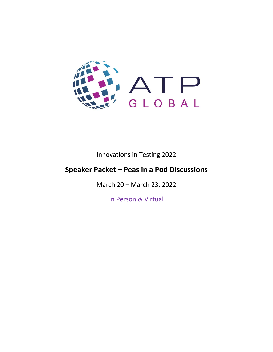

Innovations in Testing 2022

# **Speaker Packet – Peas in a Pod Discussions**

March 20 – March 23, 2022

In Person & Virtual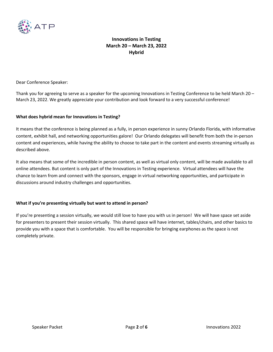

Dear Conference Speaker:

Thank you for agreeing to serve as a speaker for the upcoming Innovations in Testing Conference to be held March 20 – March 23, 2022. We greatly appreciate your contribution and look forward to a very successful conference!

### **What does hybrid mean for Innovations in Testing?**

It means that the conference is being planned as a fully, in person experience in sunny Orlando Florida, with informative content, exhibit hall, and networking opportunities galore! Our Orlando delegates will benefit from both the in-person content and experiences, while having the ability to choose to take part in the content and events streaming virtually as described above.

It also means that some of the incredible in person content, as well as virtual only content, will be made available to all online attendees. But content is only part of the Innovations in Testing experience. Virtual attendees will have the chance to learn from and connect with the sponsors, engage in virtual networking opportunities, and participate in discussions around industry challenges and opportunities.

### **What if you're presenting virtually but want to attend in person?**

If you're presenting a session virtually, we would still love to have you with us in person! We will have space set aside for presenters to present their session virtually. This shared space will have internet, tables/chairs, and other basics to provide you with a space that is comfortable. You will be responsible for bringing earphones as the space is not completely private.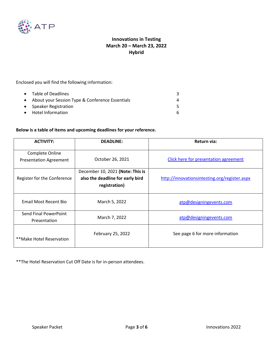

Enclosed you will find the following information:

| • Table of Deadlines                              |  |
|---------------------------------------------------|--|
| • About your Session Type & Conference Essentials |  |
| • Speaker Registration                            |  |
| • Hotel Information                               |  |

### **Below is a table of items and upcoming deadlines for your reference.**

| <b>ACTIVITY:</b>                                 | <b>DEADLINE:</b>                                                                      | Return via:                                   |
|--------------------------------------------------|---------------------------------------------------------------------------------------|-----------------------------------------------|
| Complete Online<br><b>Presentation Agreement</b> | October 26, 2021                                                                      | <b>Click here for presentation agreement</b>  |
| Register for the Conference                      | December 10, 2021 (Note: This is<br>also the deadline for early bird<br>registration) | http://innovationsintesting.org/register.aspx |
| Email Most Recent Bio                            | March 5, 2022                                                                         | atp@designingevents.com                       |
| Send Final PowerPoint<br>Presentation            | March 7, 2022                                                                         | atp@designingevents.com                       |
| **Make Hotel Reservation                         | February 25, 2022                                                                     | See page 6 for more information               |

\*\*The Hotel Reservation Cut Off Date is for in-person attendees.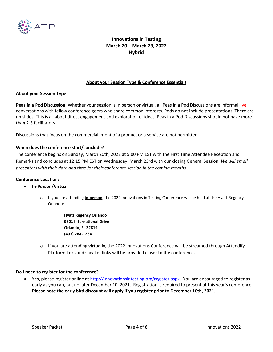

### **About your Session Type & Conference Essentials**

#### **About your Session Type**

**Peas in a Pod Discussion**: Whether your session is in person or virtual, all Peas in a Pod Discussions are informal live conversations with fellow conference goers who share common interests. Pods do not include presentations. There are no slides. This is all about direct engagement and exploration of ideas. Peas in a Pod Discussions should not have more than 2-3 facilitators.

Discussions that focus on the commercial intent of a product or a service are not permitted.

### **When does the conference start/conclude?**

The conference begins on Sunday, March 20th, 2022 at 5:00 PM EST with the First Time Attendee Reception and Remarks and concludes at 12:15 PM EST on Wednesday, March 23rd with our closing General Session. *We will email presenters with their date and time for their conference session in the coming months.* 

#### **Conference Location:**

- **In-Person/Virtual**
	- o If you are attending **in-person**, the 2022 Innovations in Testing Conference will be held at the Hyatt Regency Orlando:
		- **Hyatt Regency Orlando 9801 International Drive Orlando, FL 32819 (407) 284-1234**
	- o If you are attending **virtually**, the 2022 Innovations Conference will be streamed through Attendify. Platform links and speaker links will be provided closer to the conference.

#### **Do I need to register for the conference?**

• Yes, please register online at [http://innovationsintesting.org/register.aspx.](http://innovationsintesting.org/atp2022/register.aspx) You are encouraged to register as early as you can, but no later December 10, 2021. Registration is required to present at this year's conference. **Please note the early bird discount will apply if you register prior to December 10th, 2021.**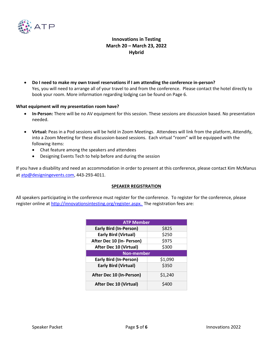

• **Do I need to make my own travel reservations if I am attending the conference in-person?** Yes, you will need to arrange all of your travel to and from the conference. Please contact the hotel directly to book your room. More information regarding lodging can be found on Page 6.

### **What equipment will my presentation room have?**

- **In-Person:** There will be no AV equipment for this session. These sessions are discussion based. No presentation needed.
- **Virtual:** Peas in a Pod sessions will be held in Zoom Meetings. Attendees will link from the platform, Attendify, into a Zoom Meeting for these discussion-based sessions. Each virtual "room" will be equipped with the following items:
	- Chat feature among the speakers and attendees
	- Designing Events Tech to help before and during the session

If you have a disability and need an accommodation in order to present at this conference, please contact Kim McManus at [atp@designingevents.com,](mailto:atp@designingevents.com) 443-293-4011.

#### **SPEAKER REGISTRATION**

All speakers participating in the conference must register for the conference. To register for the conference, please register online a[t http://innovationsintesting.org/register.aspx.](http://innovationsintesting.org/atp2022/register.aspx) The registration fees are:

| <b>ATP Member</b>             |         |  |  |
|-------------------------------|---------|--|--|
| <b>Early Bird (In-Person)</b> | \$825   |  |  |
| <b>Early Bird (Virtual)</b>   | \$250   |  |  |
| After Dec 10 (In- Person)     | \$975   |  |  |
| <b>After Dec 10 (Virtual)</b> | \$300   |  |  |
| <b>Non-member</b>             |         |  |  |
| <b>Early Bird (In-Person)</b> | \$1,090 |  |  |
| <b>Early Bird (Virtual)</b>   | \$350   |  |  |
| After Dec 10 (In-Person)      | \$1,240 |  |  |
| <b>After Dec 10 (Virtual)</b> | \$400   |  |  |